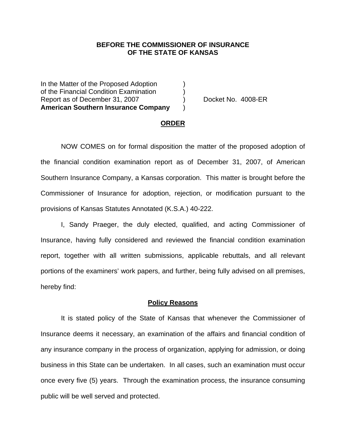## **BEFORE THE COMMISSIONER OF INSURANCE OF THE STATE OF KANSAS**

In the Matter of the Proposed Adoption of the Financial Condition Examination ) Report as of December 31, 2007 (and Separate No. 4008-ER **American Southern Insurance Company** )

### **ORDER**

 NOW COMES on for formal disposition the matter of the proposed adoption of the financial condition examination report as of December 31, 2007, of American Southern Insurance Company, a Kansas corporation. This matter is brought before the Commissioner of Insurance for adoption, rejection, or modification pursuant to the provisions of Kansas Statutes Annotated (K.S.A.) 40-222.

 I, Sandy Praeger, the duly elected, qualified, and acting Commissioner of Insurance, having fully considered and reviewed the financial condition examination report, together with all written submissions, applicable rebuttals, and all relevant portions of the examiners' work papers, and further, being fully advised on all premises, hereby find:

### **Policy Reasons**

 It is stated policy of the State of Kansas that whenever the Commissioner of Insurance deems it necessary, an examination of the affairs and financial condition of any insurance company in the process of organization, applying for admission, or doing business in this State can be undertaken. In all cases, such an examination must occur once every five (5) years. Through the examination process, the insurance consuming public will be well served and protected.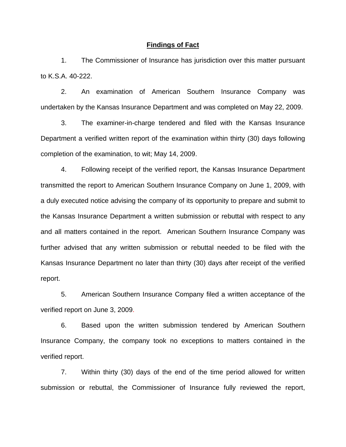### **Findings of Fact**

 1. The Commissioner of Insurance has jurisdiction over this matter pursuant to K.S.A. 40-222.

 2. An examination of American Southern Insurance Company was undertaken by the Kansas Insurance Department and was completed on May 22, 2009.

 3. The examiner-in-charge tendered and filed with the Kansas Insurance Department a verified written report of the examination within thirty (30) days following completion of the examination, to wit; May 14, 2009.

 4. Following receipt of the verified report, the Kansas Insurance Department transmitted the report to American Southern Insurance Company on June 1, 2009, with a duly executed notice advising the company of its opportunity to prepare and submit to the Kansas Insurance Department a written submission or rebuttal with respect to any and all matters contained in the report. American Southern Insurance Company was further advised that any written submission or rebuttal needed to be filed with the Kansas Insurance Department no later than thirty (30) days after receipt of the verified report.

 5. American Southern Insurance Company filed a written acceptance of the verified report on June 3, 2009.

6. Based upon the written submission tendered by American Southern Insurance Company, the company took no exceptions to matters contained in the verified report.

 7. Within thirty (30) days of the end of the time period allowed for written submission or rebuttal, the Commissioner of Insurance fully reviewed the report,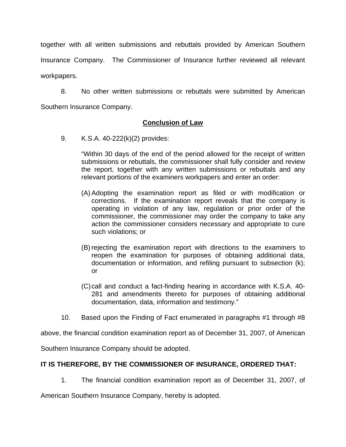together with all written submissions and rebuttals provided by American Southern Insurance Company. The Commissioner of Insurance further reviewed all relevant workpapers.

 8. No other written submissions or rebuttals were submitted by American Southern Insurance Company.

# **Conclusion of Law**

9. K.S.A. 40-222(k)(2) provides:

"Within 30 days of the end of the period allowed for the receipt of written submissions or rebuttals, the commissioner shall fully consider and review the report, together with any written submissions or rebuttals and any relevant portions of the examiners workpapers and enter an order:

- (A) Adopting the examination report as filed or with modification or corrections. If the examination report reveals that the company is operating in violation of any law, regulation or prior order of the commissioner, the commissioner may order the company to take any action the commissioner considers necessary and appropriate to cure such violations; or
- (B) rejecting the examination report with directions to the examiners to reopen the examination for purposes of obtaining additional data, documentation or information, and refiling pursuant to subsection (k); or
- (C) call and conduct a fact-finding hearing in accordance with K.S.A. 40- 281 and amendments thereto for purposes of obtaining additional documentation, data, information and testimony."
- 10. Based upon the Finding of Fact enumerated in paragraphs #1 through #8

above, the financial condition examination report as of December 31, 2007, of American

Southern Insurance Company should be adopted.

# **IT IS THEREFORE, BY THE COMMISSIONER OF INSURANCE, ORDERED THAT:**

1. The financial condition examination report as of December 31, 2007, of

American Southern Insurance Company, hereby is adopted.